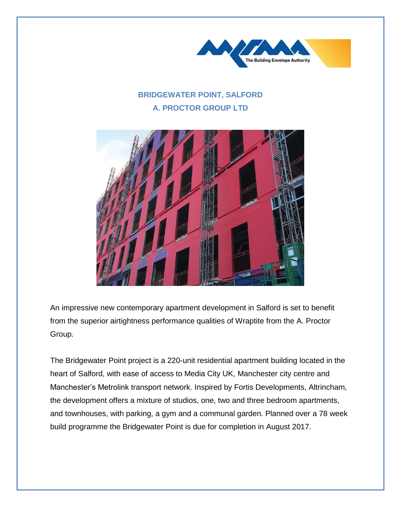

## **BRIDGEWATER POINT, SALFORD A. PROCTOR GROUP LTD**



An impressive new contemporary apartment development in Salford is set to benefit from the superior airtightness performance qualities of Wraptite from the A. Proctor Group.

The Bridgewater Point project is a 220-unit residential apartment building located in the heart of Salford, with ease of access to Media City UK, Manchester city centre and Manchester's Metrolink transport network. Inspired by Fortis Developments, Altrincham, the development offers a mixture of studios, one, two and three bedroom apartments, and townhouses, with parking, a gym and a communal garden. Planned over a 78 week build programme the Bridgewater Point is due for completion in August 2017.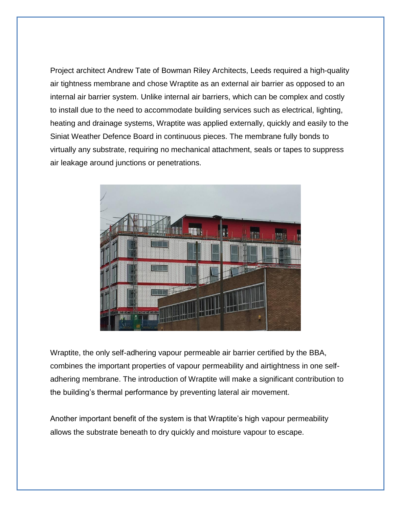Project architect Andrew Tate of Bowman Riley Architects, Leeds required a high-quality air tightness membrane and chose Wraptite as an external air barrier as opposed to an internal air barrier system. Unlike internal air barriers, which can be complex and costly to install due to the need to accommodate building services such as electrical, lighting, heating and drainage systems, Wraptite was applied externally, quickly and easily to the Siniat Weather Defence Board in continuous pieces. The membrane fully bonds to virtually any substrate, requiring no mechanical attachment, seals or tapes to suppress air leakage around junctions or penetrations.



Wraptite, the only self-adhering vapour permeable air barrier certified by the BBA, combines the important properties of vapour permeability and airtightness in one selfadhering membrane. The introduction of Wraptite will make a significant contribution to the building's thermal performance by preventing lateral air movement.

Another important benefit of the system is that Wraptite's high vapour permeability allows the substrate beneath to dry quickly and moisture vapour to escape.